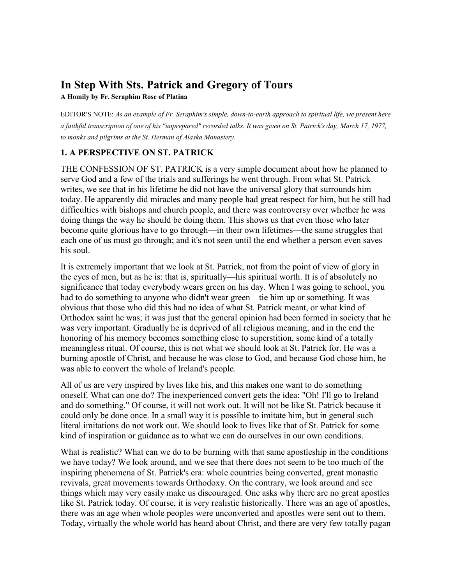# **In Step With Sts. Patrick and Gregory of Tours**

**A Homily by Fr. Seraphim Rose of Platina** 

EDITOR'S NOTE: *As an example of Fr. Seraphim's simple, down-to-earth approach to spiritual life, we present here a faithful transcription of one of his "unprepared" recorded talks. It was given on St. Patrick's day, March 17, 1977, to monks and pilgrims at the St. Herman of Alaska Monastery.* 

# **1. A PERSPECTIVE ON ST. PATRICK**

[THE CONFESSION OF ST. PATRICK](http://www.ccel.org/p/patrick/confession/confession.html) is a very simple document about how he planned to serve God and a few of the trials and sufferings he went through. From what St. Patrick writes, we see that in his lifetime he did not have the universal glory that surrounds him today. He apparently did miracles and many people had great respect for him, but he still had difficulties with bishops and church people, and there was controversy over whether he was doing things the way he should be doing them. This shows us that even those who later become quite glorious have to go through—in their own lifetimes—the same struggles that each one of us must go through; and it's not seen until the end whether a person even saves his soul.

It is extremely important that we look at St. Patrick, not from the point of view of glory in the eyes of men, but as he is: that is, spiritually—his spiritual worth. It is of absolutely no significance that today everybody wears green on his day. When I was going to school, you had to do something to anyone who didn't wear green—tie him up or something. It was obvious that those who did this had no idea of what St. Patrick meant, or what kind of Orthodox saint he was; it was just that the general opinion had been formed in society that he was very important. Gradually he is deprived of all religious meaning, and in the end the honoring of his memory becomes something close to superstition, some kind of a totally meaningless ritual. Of course, this is not what we should look at St. Patrick for. He was a burning apostle of Christ, and because he was close to God, and because God chose him, he was able to convert the whole of Ireland's people.

All of us are very inspired by lives like his, and this makes one want to do something oneself. What can one do? The inexperienced convert gets the idea: "Oh! I'll go to Ireland and do something." Of course, it will not work out. It will not be like St. Patrick because it could only be done once. In a small way it is possible to imitate him, but in general such literal imitations do not work out. We should look to lives like that of St. Patrick for some kind of inspiration or guidance as to what we can do ourselves in our own conditions.

What is realistic? What can we do to be burning with that same apostleship in the conditions we have today? We look around, and we see that there does not seem to be too much of the inspiring phenomena of St. Patrick's era: whole countries being converted, great monastic revivals, great movements towards Orthodoxy. On the contrary, we look around and see things which may very easily make us discouraged. One asks why there are no great apostles like St. Patrick today. Of course, it is very realistic historically. There was an age of apostles, there was an age when whole peoples were unconverted and apostles were sent out to them. Today, virtually the whole world has heard about Christ, and there are very few totally pagan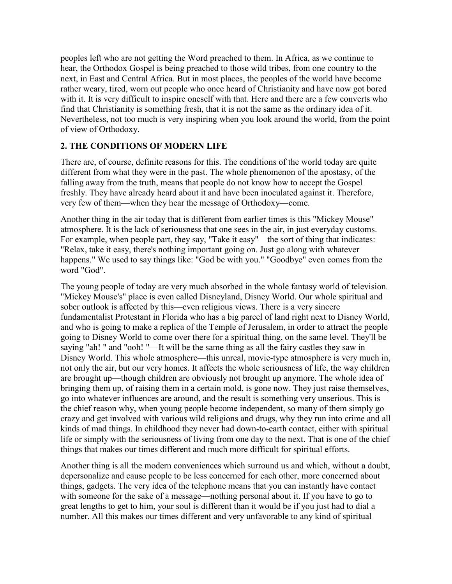peoples left who are not getting the Word preached to them. In Africa, as we continue to hear, the Orthodox Gospel is being preached to those wild tribes, from one country to the next, in East and Central Africa. But in most places, the peoples of the world have become rather weary, tired, worn out people who once heard of Christianity and have now got bored with it. It is very difficult to inspire oneself with that. Here and there are a few converts who find that Christianity is something fresh, that it is not the same as the ordinary idea of it. Nevertheless, not too much is very inspiring when you look around the world, from the point of view of Orthodoxy.

# **2. THE CONDITIONS OF MODERN LIFE**

There are, of course, definite reasons for this. The conditions of the world today are quite different from what they were in the past. The whole phenomenon of the apostasy, of the falling away from the truth, means that people do not know how to accept the Gospel freshly. They have already heard about it and have been inoculated against it. Therefore, very few of them—when they hear the message of Orthodoxy—come.

Another thing in the air today that is different from earlier times is this "Mickey Mouse" atmosphere. It is the lack of seriousness that one sees in the air, in just everyday customs. For example, when people part, they say, "Take it easy"—the sort of thing that indicates: "Relax, take it easy, there's nothing important going on. Just go along with whatever happens." We used to say things like: "God be with you." "Goodbye" even comes from the word "God".

The young people of today are very much absorbed in the whole fantasy world of television. "Mickey Mouse's" place is even called Disneyland, Disney World. Our whole spiritual and sober outlook is affected by this—even religious views. There is a very sincere fundamentalist Protestant in Florida who has a big parcel of land right next to Disney World, and who is going to make a replica of the Temple of Jerusalem, in order to attract the people going to Disney World to come over there for a spiritual thing, on the same level. They'll be saying "ah! " and "ooh! "—It will be the same thing as all the fairy castles they saw in Disney World. This whole atmosphere—this unreal, movie-type atmosphere is very much in, not only the air, but our very homes. It affects the whole seriousness of life, the way children are brought up—though children are obviously not brought up anymore. The whole idea of bringing them up, of raising them in a certain mold, is gone now. They just raise themselves, go into whatever influences are around, and the result is something very unserious. This is the chief reason why, when young people become independent, so many of them simply go crazy and get involved with various wild religions and drugs, why they run into crime and all kinds of mad things. In childhood they never had down-to-earth contact, either with spiritual life or simply with the seriousness of living from one day to the next. That is one of the chief things that makes our times different and much more difficult for spiritual efforts.

Another thing is all the modern conveniences which surround us and which, without a doubt, depersonalize and cause people to be less concerned for each other, more concerned about things, gadgets. The very idea of the telephone means that you can instantly have contact with someone for the sake of a message—nothing personal about it. If you have to go to great lengths to get to him, your soul is different than it would be if you just had to dial a number. All this makes our times different and very unfavorable to any kind of spiritual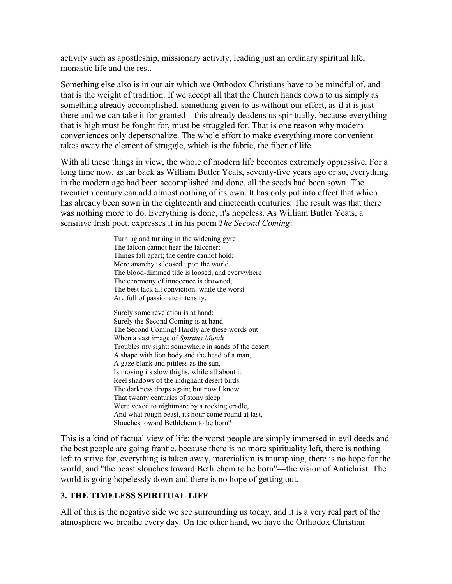activity such as apostleship, missionary activity, leading just an ordinary spiritual life, monastic life and the rest.

Something else also is in our air which we Orthodox Christians have to be mindful of, and that is the weight of tradition. If we accept all that the Church hands down to us simply as something already accomplished, something given to us without our effort, as if it is just there and we can take it for granted—this already deadens us spiritually, because everything that is high must be fought for, must be struggled for. That is one reason why modern conveniences only depersonalize. The whole effort to make everything more convenient takes away the element of struggle, which is the fabric, the fiber of life.

With all these things in view, the whole of modern life becomes extremely oppressive. For a long time now, as far back as William Butler Yeats, seventy-five years ago or so, everything in the modern age had been accomplished and done, all the seeds had been sown. The twentieth century can add almost nothing of its own. It has only put into effect that which has already been sown in the eighteenth and nineteenth centuries. The result was that there was nothing more to do. Everything is done, it's hopeless. As William Butler Yeats, a sensitive Irish poet, expresses it in his poem *The Second Coming*:

> Turning and turning in the widening gyre The falcon cannot hear the falconer; Things fall apart; the centre cannot hold; Mere anarchy is loosed upon the world, The blood-dimmed tide is loosed, and everywhere The ceremony of innocence is drowned; The best lack all conviction, while the worst Are full of passionate intensity.

Surely some revelation is at hand; Surely the Second Coming is at hand The Second Coming! Hardly are these words out When a vast image of *Spiritus Mundi* Troubles my sight: somewhere in sands of the desert A shape with lion body and the head of a man, A gaze blank and pitiless as the sun, Is moving its slow thighs, while all about it Reel shadows of the indignant desert birds. The darkness drops again; but now I know That twenty centuries of stony sleep Were vexed to nightmare by a rocking cradle, And what rough beast, its hour come round at last, Slouches toward Bethlehem to be born?

This is a kind of factual view of life: the worst people are simply immersed in evil deeds and the best people are going frantic, because there is no more spirituality left, there is nothing left to strive for, everything is taken away, materialism is triumphing, there is no hope for the world, and "the beast slouches toward Bethlehem to be born"—the vision of Antichrist. The world is going hopelessly down and there is no hope of getting out.

#### **3. THE TIMELESS SPIRITUAL LIFE**

All of this is the negative side we see surrounding us today, and it is a very real part of the atmosphere we breathe every day. On the other hand, we have the Orthodox Christian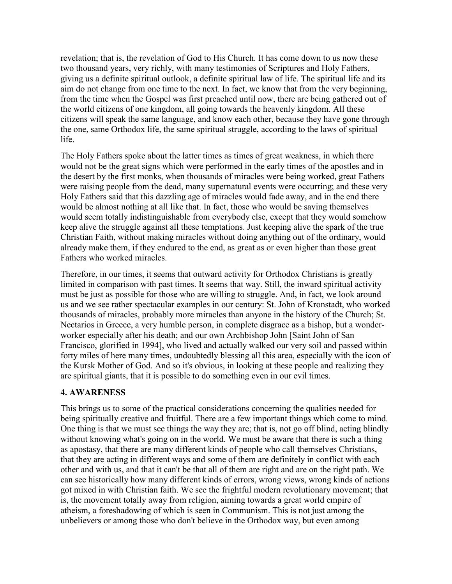revelation; that is, the revelation of God to His Church. It has come down to us now these two thousand years, very richly, with many testimonies of Scriptures and Holy Fathers, giving us a definite spiritual outlook, a definite spiritual law of life. The spiritual life and its aim do not change from one time to the next. In fact, we know that from the very beginning, from the time when the Gospel was first preached until now, there are being gathered out of the world citizens of one kingdom, all going towards the heavenly kingdom. All these citizens will speak the same language, and know each other, because they have gone through the one, same Orthodox life, the same spiritual struggle, according to the laws of spiritual life.

The Holy Fathers spoke about the latter times as times of great weakness, in which there would not be the great signs which were performed in the early times of the apostles and in the desert by the first monks, when thousands of miracles were being worked, great Fathers were raising people from the dead, many supernatural events were occurring; and these very Holy Fathers said that this dazzling age of miracles would fade away, and in the end there would be almost nothing at all like that. In fact, those who would be saving themselves would seem totally indistinguishable from everybody else, except that they would somehow keep alive the struggle against all these temptations. Just keeping alive the spark of the true Christian Faith, without making miracles without doing anything out of the ordinary, would already make them, if they endured to the end, as great as or even higher than those great Fathers who worked miracles.

Therefore, in our times, it seems that outward activity for Orthodox Christians is greatly limited in comparison with past times. It seems that way. Still, the inward spiritual activity must be just as possible for those who are willing to struggle. And, in fact, we look around us and we see rather spectacular examples in our century: St. John of Kronstadt, who worked thousands of miracles, probably more miracles than anyone in the history of the Church; St. Nectarios in Greece, a very humble person, in complete disgrace as a bishop, but a wonderworker especially after his death; and our own Archbishop John [Saint John of San Francisco, glorified in 1994], who lived and actually walked our very soil and passed within forty miles of here many times, undoubtedly blessing all this area, especially with the icon of the Kursk Mother of God. And so it's obvious, in looking at these people and realizing they are spiritual giants, that it is possible to do something even in our evil times.

#### **4. AWARENESS**

This brings us to some of the practical considerations concerning the qualities needed for being spiritually creative and fruitful. There are a few important things which come to mind. One thing is that we must see things the way they are; that is, not go off blind, acting blindly without knowing what's going on in the world. We must be aware that there is such a thing as apostasy, that there are many different kinds of people who call themselves Christians, that they are acting in different ways and some of them are definitely in conflict with each other and with us, and that it can't be that all of them are right and are on the right path. We can see historically how many different kinds of errors, wrong views, wrong kinds of actions got mixed in with Christian faith. We see the frightful modern revolutionary movement; that is, the movement totally away from religion, aiming towards a great world empire of atheism, a foreshadowing of which is seen in Communism. This is not just among the unbelievers or among those who don't believe in the Orthodox way, but even among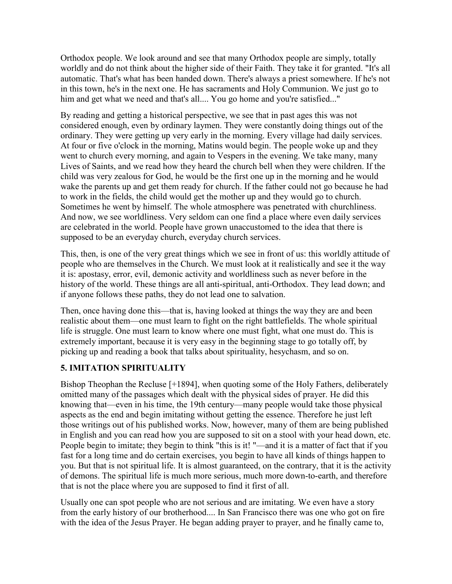Orthodox people. We look around and see that many Orthodox people are simply, totally worldly and do not think about the higher side of their Faith. They take it for granted. "It's all automatic. That's what has been handed down. There's always a priest somewhere. If he's not in this town, he's in the next one. He has sacraments and Holy Communion. We just go to him and get what we need and that's all.... You go home and you're satisfied..."

By reading and getting a historical perspective, we see that in past ages this was not considered enough, even by ordinary laymen. They were constantly doing things out of the ordinary. They were getting up very early in the morning. Every village had daily services. At four or five o'clock in the morning, Matins would begin. The people woke up and they went to church every morning, and again to Vespers in the evening. We take many, many Lives of Saints, and we read how they heard the church bell when they were children. If the child was very zealous for God, he would be the first one up in the morning and he would wake the parents up and get them ready for church. If the father could not go because he had to work in the fields, the child would get the mother up and they would go to church. Sometimes he went by himself. The whole atmosphere was penetrated with churchliness. And now, we see worldliness. Very seldom can one find a place where even daily services are celebrated in the world. People have grown unaccustomed to the idea that there is supposed to be an everyday church, everyday church services.

This, then, is one of the very great things which we see in front of us: this worldly attitude of people who are themselves in the Church. We must look at it realistically and see it the way it is: apostasy, error, evil, demonic activity and worldliness such as never before in the history of the world. These things are all anti-spiritual, anti-Orthodox. They lead down; and if anyone follows these paths, they do not lead one to salvation.

Then, once having done this—that is, having looked at things the way they are and been realistic about them—one must learn to fight on the right battlefields. The whole spiritual life is struggle. One must learn to know where one must fight, what one must do. This is extremely important, because it is very easy in the beginning stage to go totally off, by picking up and reading a book that talks about spirituality, hesychasm, and so on.

#### **5. IMITATION SPIRITUALITY**

Bishop Theophan the Recluse [+1894], when quoting some of the Holy Fathers, deliberately omitted many of the passages which dealt with the physical sides of prayer. He did this knowing that—even in his time, the 19th century—many people would take those physical aspects as the end and begin imitating without getting the essence. Therefore he just left those writings out of his published works. Now, however, many of them are being published in English and you can read how you are supposed to sit on a stool with your head down, etc. People begin to imitate; they begin to think "this is it! "—and it is a matter of fact that if you fast for a long time and do certain exercises, you begin to have all kinds of things happen to you. But that is not spiritual life. It is almost guaranteed, on the contrary, that it is the activity of demons. The spiritual life is much more serious, much more down-to-earth, and therefore that is not the place where you are supposed to find it first of all.

Usually one can spot people who are not serious and are imitating. We even have a story from the early history of our brotherhood.... In San Francisco there was one who got on fire with the idea of the Jesus Prayer. He began adding prayer to prayer, and he finally came to,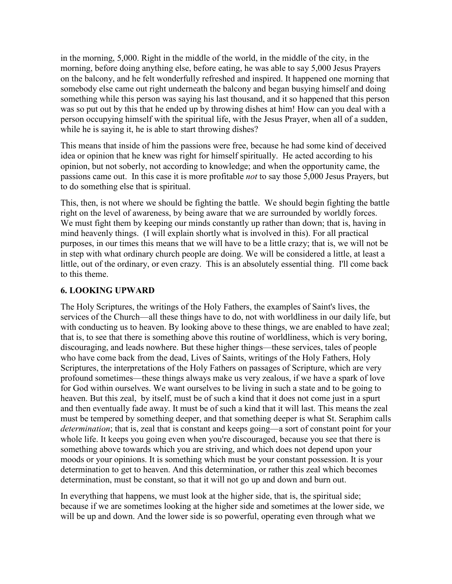in the morning, 5,000. Right in the middle of the world, in the middle of the city, in the morning, before doing anything else, before eating, he was able to say 5,000 Jesus Prayers on the balcony, and he felt wonderfully refreshed and inspired. It happened one morning that somebody else came out right underneath the balcony and began busying himself and doing something while this person was saying his last thousand, and it so happened that this person was so put out by this that he ended up by throwing dishes at him! How can you deal with a person occupying himself with the spiritual life, with the Jesus Prayer, when all of a sudden, while he is saying it, he is able to start throwing dishes?

This means that inside of him the passions were free, because he had some kind of deceived idea or opinion that he knew was right for himself spiritually. He acted according to his opinion, but not soberly, not according to knowledge; and when the opportunity came, the passions came out. In this case it is more profitable *not* to say those 5,000 Jesus Prayers, but to do something else that is spiritual.

This, then, is not where we should be fighting the battle. We should begin fighting the battle right on the level of awareness, by being aware that we are surrounded by worldly forces. We must fight them by keeping our minds constantly up rather than down; that is, having in mind heavenly things. (I will explain shortly what is involved in this). For all practical purposes, in our times this means that we will have to be a little crazy; that is, we will not be in step with what ordinary church people are doing. We will be considered a little, at least a little, out of the ordinary, or even crazy. This is an absolutely essential thing. I'll come back to this theme.

#### **6. LOOKING UPWARD**

The Holy Scriptures, the writings of the Holy Fathers, the examples of Saint's lives, the services of the Church—all these things have to do, not with worldliness in our daily life, but with conducting us to heaven. By looking above to these things, we are enabled to have zeal; that is, to see that there is something above this routine of worldliness, which is very boring, discouraging, and leads nowhere. But these higher things—these services, tales of people who have come back from the dead, Lives of Saints, writings of the Holy Fathers, Holy Scriptures, the interpretations of the Holy Fathers on passages of Scripture, which are very profound sometimes—these things always make us very zealous, if we have a spark of love for God within ourselves. We want ourselves to be living in such a state and to be going to heaven. But this zeal, by itself, must be of such a kind that it does not come just in a spurt and then eventually fade away. It must be of such a kind that it will last. This means the zeal must be tempered by something deeper, and that something deeper is what St. Seraphim calls *determination*; that is, zeal that is constant and keeps going—a sort of constant point for your whole life. It keeps you going even when you're discouraged, because you see that there is something above towards which you are striving, and which does not depend upon your moods or your opinions. It is something which must be your constant possession. It is your determination to get to heaven. And this determination, or rather this zeal which becomes determination, must be constant, so that it will not go up and down and burn out.

In everything that happens, we must look at the higher side, that is, the spiritual side; because if we are sometimes looking at the higher side and sometimes at the lower side, we will be up and down. And the lower side is so powerful, operating even through what we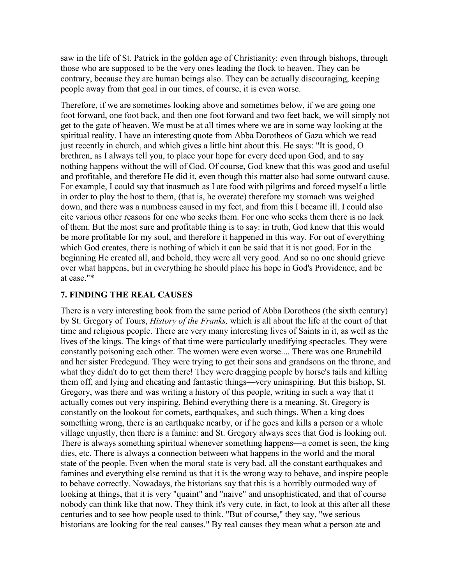saw in the life of St. Patrick in the golden age of Christianity: even through bishops, through those who are supposed to be the very ones leading the flock to heaven. They can be contrary, because they are human beings also. They can be actually discouraging, keeping people away from that goal in our times, of course, it is even worse.

Therefore, if we are sometimes looking above and sometimes below, if we are going one foot forward, one foot back, and then one foot forward and two feet back, we will simply not get to the gate of heaven. We must be at all times where we are in some way looking at the spiritual reality. I have an interesting quote from Abba Dorotheos of Gaza which we read just recently in church, and which gives a little hint about this. He says: "It is good, O brethren, as I always tell you, to place your hope for every deed upon God, and to say nothing happens without the will of God. Of course, God knew that this was good and useful and profitable, and therefore He did it, even though this matter also had some outward cause. For example, I could say that inasmuch as I ate food with pilgrims and forced myself a little in order to play the host to them, (that is, he overate) therefore my stomach was weighed down, and there was a numbness caused in my feet, and from this I became ill. I could also cite various other reasons for one who seeks them. For one who seeks them there is no lack of them. But the most sure and profitable thing is to say: in truth, God knew that this would be more profitable for my soul, and therefore it happened in this way. For out of everything which God creates, there is nothing of which it can be said that it is not good. For in the beginning He created all, and behold, they were all very good. And so no one should grieve over what happens, but in everything he should place his hope in God's Providence, and be at ease."\*

#### **7. FINDING THE REAL CAUSES**

There is a very interesting book from the same period of Abba Dorotheos (the sixth century) by St. Gregory of Tours, *History of the Franks,* which is all about the life at the court of that time and religious people. There are very many interesting lives of Saints in it, as well as the lives of the kings. The kings of that time were particularly unedifying spectacles. They were constantly poisoning each other. The women were even worse.... There was one Brunehild and her sister Fredegund. They were trying to get their sons and grandsons on the throne, and what they didn't do to get them there! They were dragging people by horse's tails and killing them off, and lying and cheating and fantastic things—very uninspiring. But this bishop, St. Gregory, was there and was writing a history of this people, writing in such a way that it actually comes out very inspiring. Behind everything there is a meaning. St. Gregory is constantly on the lookout for comets, earthquakes, and such things. When a king does something wrong, there is an earthquake nearby, or if he goes and kills a person or a whole village unjustly, then there is a famine: and St. Gregory always sees that God is looking out. There is always something spiritual whenever something happens—a comet is seen, the king dies, etc. There is always a connection between what happens in the world and the moral state of the people. Even when the moral state is very bad, all the constant earthquakes and famines and everything else remind us that it is the wrong way to behave, and inspire people to behave correctly. Nowadays, the historians say that this is a horribly outmoded way of looking at things, that it is very "quaint" and "naive" and unsophisticated, and that of course nobody can think like that now. They think it's very cute, in fact, to look at this after all these centuries and to see how people used to think. "But of course," they say, "we serious historians are looking for the real causes." By real causes they mean what a person ate and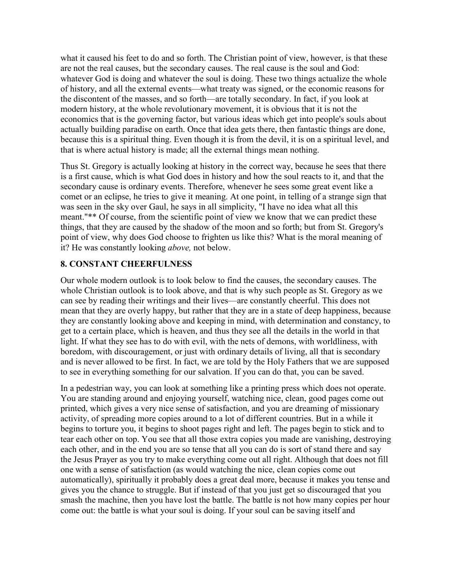what it caused his feet to do and so forth. The Christian point of view, however, is that these are not the real causes, but the secondary causes. The real cause is the soul and God: whatever God is doing and whatever the soul is doing. These two things actualize the whole of history, and all the external events—what treaty was signed, or the economic reasons for the discontent of the masses, and so forth—are totally secondary. In fact, if you look at modern history, at the whole revolutionary movement, it is obvious that it is not the economics that is the governing factor, but various ideas which get into people's souls about actually building paradise on earth. Once that idea gets there, then fantastic things are done, because this is a spiritual thing. Even though it is from the devil, it is on a spiritual level, and that is where actual history is made; all the external things mean nothing.

Thus St. Gregory is actually looking at history in the correct way, because he sees that there is a first cause, which is what God does in history and how the soul reacts to it, and that the secondary cause is ordinary events. Therefore, whenever he sees some great event like a comet or an eclipse, he tries to give it meaning. At one point, in telling of a strange sign that was seen in the sky over Gaul, he says in all simplicity, "I have no idea what all this meant."\*\* Of course, from the scientific point of view we know that we can predict these things, that they are caused by the shadow of the moon and so forth; but from St. Gregory's point of view, why does God choose to frighten us like this? What is the moral meaning of it? He was constantly looking *above,* not below.

### **8. CONSTANT CHEERFULNESS**

Our whole modern outlook is to look below to find the causes, the secondary causes. The whole Christian outlook is to look above, and that is why such people as St. Gregory as we can see by reading their writings and their lives—are constantly cheerful. This does not mean that they are overly happy, but rather that they are in a state of deep happiness, because they are constantly looking above and keeping in mind, with determination and constancy, to get to a certain place, which is heaven, and thus they see all the details in the world in that light. If what they see has to do with evil, with the nets of demons, with worldliness, with boredom, with discouragement, or just with ordinary details of living, all that is secondary and is never allowed to be first. In fact, we are told by the Holy Fathers that we are supposed to see in everything something for our salvation. If you can do that, you can be saved.

In a pedestrian way, you can look at something like a printing press which does not operate. You are standing around and enjoying yourself, watching nice, clean, good pages come out printed, which gives a very nice sense of satisfaction, and you are dreaming of missionary activity, of spreading more copies around to a lot of different countries. But in a while it begins to torture you, it begins to shoot pages right and left. The pages begin to stick and to tear each other on top. You see that all those extra copies you made are vanishing, destroying each other, and in the end you are so tense that all you can do is sort of stand there and say the Jesus Prayer as you try to make everything come out all right. Although that does not fill one with a sense of satisfaction (as would watching the nice, clean copies come out automatically), spiritually it probably does a great deal more, because it makes you tense and gives you the chance to struggle. But if instead of that you just get so discouraged that you smash the machine, then you have lost the battle. The battle is not how many copies per hour come out: the battle is what your soul is doing. If your soul can be saving itself and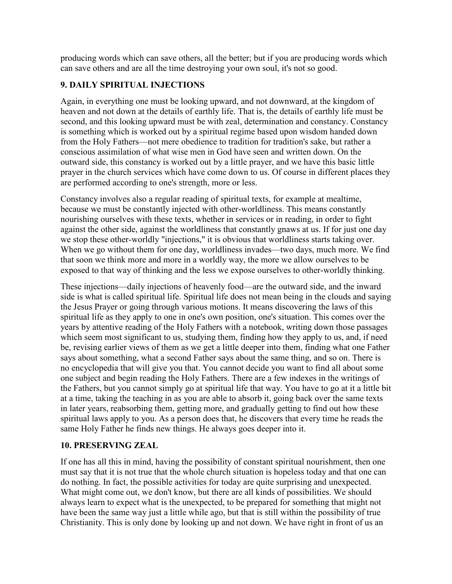producing words which can save others, all the better; but if you are producing words which can save others and are all the time destroying your own soul, it's not so good.

# **9. DAILY SPIRITUAL INJECTIONS**

Again, in everything one must be looking upward, and not downward, at the kingdom of heaven and not down at the details of earthly life. That is, the details of earthly life must be second, and this looking upward must be with zeal, determination and constancy. Constancy is something which is worked out by a spiritual regime based upon wisdom handed down from the Holy Fathers—not mere obedience to tradition for tradition's sake, but rather a conscious assimilation of what wise men in God have seen and written down. On the outward side, this constancy is worked out by a little prayer, and we have this basic little prayer in the church services which have come down to us. Of course in different places they are performed according to one's strength, more or less.

Constancy involves also a regular reading of spiritual texts, for example at mealtime, because we must be constantly injected with other-worldliness. This means constantly nourishing ourselves with these texts, whether in services or in reading, in order to fight against the other side, against the worldliness that constantly gnaws at us. If for just one day we stop these other-worldly "injections," it is obvious that worldliness starts taking over. When we go without them for one day, worldliness invades—two days, much more. We find that soon we think more and more in a worldly way, the more we allow ourselves to be exposed to that way of thinking and the less we expose ourselves to other-worldly thinking.

These injections—daily injections of heavenly food—are the outward side, and the inward side is what is called spiritual life. Spiritual life does not mean being in the clouds and saying the Jesus Prayer or going through various motions. It means discovering the laws of this spiritual life as they apply to one in one's own position, one's situation. This comes over the years by attentive reading of the Holy Fathers with a notebook, writing down those passages which seem most significant to us, studying them, finding how they apply to us, and, if need be, revising earlier views of them as we get a little deeper into them, finding what one Father says about something, what a second Father says about the same thing, and so on. There is no encyclopedia that will give you that. You cannot decide you want to find all about some one subject and begin reading the Holy Fathers. There are a few indexes in the writings of the Fathers, but you cannot simply go at spiritual life that way. You have to go at it a little bit at a time, taking the teaching in as you are able to absorb it, going back over the same texts in later years, reabsorbing them, getting more, and gradually getting to find out how these spiritual laws apply to you. As a person does that, he discovers that every time he reads the same Holy Father he finds new things. He always goes deeper into it.

# **10. PRESERVING ZEAL**

If one has all this in mind, having the possibility of constant spiritual nourishment, then one must say that it is not true that the whole church situation is hopeless today and that one can do nothing. In fact, the possible activities for today are quite surprising and unexpected. What might come out, we don't know, but there are all kinds of possibilities. We should always learn to expect what is the unexpected, to be prepared for something that might not have been the same way just a little while ago, but that is still within the possibility of true Christianity. This is only done by looking up and not down. We have right in front of us an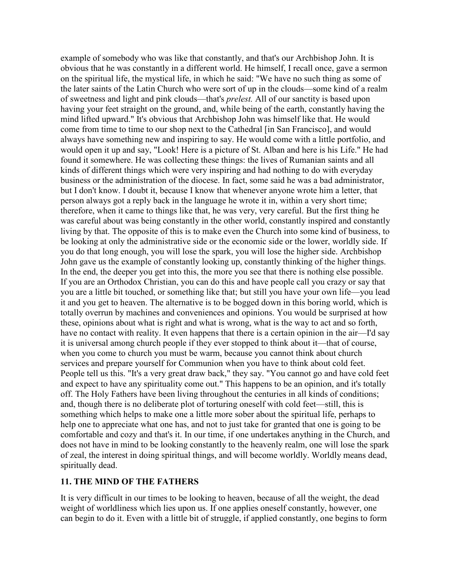example of somebody who was like that constantly, and that's our Archbishop John. It is obvious that he was constantly in a different world. He himself, I recall once, gave a sermon on the spiritual life, the mystical life, in which he said: "We have no such thing as some of the later saints of the Latin Church who were sort of up in the clouds—some kind of a realm of sweetness and light and pink clouds—that's *prelest.* All of our sanctity is based upon having your feet straight on the ground, and, while being of the earth, constantly having the mind lifted upward." It's obvious that Archbishop John was himself like that. He would come from time to time to our shop next to the Cathedral [in San Francisco], and would always have something new and inspiring to say. He would come with a little portfolio, and would open it up and say, "Look! Here is a picture of St. Alban and here is his Life." He had found it somewhere. He was collecting these things: the lives of Rumanian saints and all kinds of different things which were very inspiring and had nothing to do with everyday business or the administration of the diocese. In fact, some said he was a bad administrator, but I don't know. I doubt it, because I know that whenever anyone wrote him a letter, that person always got a reply back in the language he wrote it in, within a very short time; therefore, when it came to things like that, he was very, very careful. But the first thing he was careful about was being constantly in the other world, constantly inspired and constantly living by that. The opposite of this is to make even the Church into some kind of business, to be looking at only the administrative side or the economic side or the lower, worldly side. If you do that long enough, you will lose the spark, you will lose the higher side. Archbishop John gave us the example of constantly looking up, constantly thinking of the higher things. In the end, the deeper you get into this, the more you see that there is nothing else possible. If you are an Orthodox Christian, you can do this and have people call you crazy or say that you are a little bit touched, or something like that; but still you have your own life—you lead it and you get to heaven. The alternative is to be bogged down in this boring world, which is totally overrun by machines and conveniences and opinions. You would be surprised at how these, opinions about what is right and what is wrong, what is the way to act and so forth, have no contact with reality. It even happens that there is a certain opinion in the air—I'd say it is universal among church people if they ever stopped to think about it—that of course, when you come to church you must be warm, because you cannot think about church services and prepare yourself for Communion when you have to think about cold feet. People tell us this. "It's a very great draw back," they say. "You cannot go and have cold feet and expect to have any spirituality come out." This happens to be an opinion, and it's totally off. The Holy Fathers have been living throughout the centuries in all kinds of conditions; and, though there is no deliberate plot of torturing oneself with cold feet—still, this is something which helps to make one a little more sober about the spiritual life, perhaps to help one to appreciate what one has, and not to just take for granted that one is going to be comfortable and cozy and that's it. In our time, if one undertakes anything in the Church, and does not have in mind to be looking constantly to the heavenly realm, one will lose the spark of zeal, the interest in doing spiritual things, and will become worldly. Worldly means dead, spiritually dead.

#### **11. THE MIND OF THE FATHERS**

It is very difficult in our times to be looking to heaven, because of all the weight, the dead weight of worldliness which lies upon us. If one applies oneself constantly, however, one can begin to do it. Even with a little bit of struggle, if applied constantly, one begins to form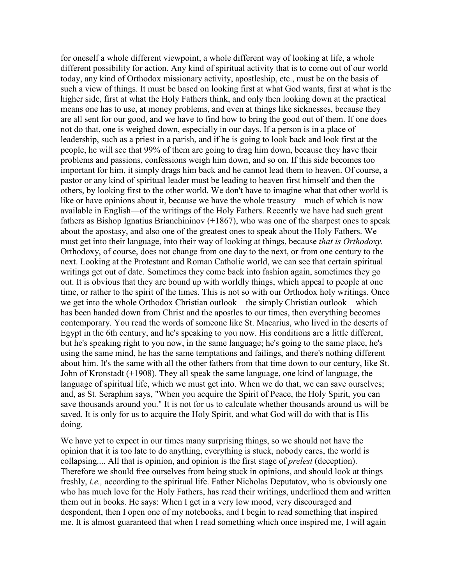for oneself a whole different viewpoint, a whole different way of looking at life, a whole different possibility for action. Any kind of spiritual activity that is to come out of our world today, any kind of Orthodox missionary activity, apostleship, etc., must be on the basis of such a view of things. It must be based on looking first at what God wants, first at what is the higher side, first at what the Holy Fathers think, and only then looking down at the practical means one has to use, at money problems, and even at things like sicknesses, because they are all sent for our good, and we have to find how to bring the good out of them. If one does not do that, one is weighed down, especially in our days. If a person is in a place of leadership, such as a priest in a parish, and if he is going to look back and look first at the people, he will see that 99% of them are going to drag him down, because they have their problems and passions, confessions weigh him down, and so on. If this side becomes too important for him, it simply drags him back and he cannot lead them to heaven. Of course, a pastor or any kind of spiritual leader must be leading to heaven first himself and then the others, by looking first to the other world. We don't have to imagine what that other world is like or have opinions about it, because we have the whole treasury—much of which is now available in English—of the writings of the Holy Fathers. Recently we have had such great fathers as Bishop Ignatius Brianchininov (+1867), who was one of the sharpest ones to speak about the apostasy, and also one of the greatest ones to speak about the Holy Fathers. We must get into their language, into their way of looking at things, because *that is Orthodoxy.*  Orthodoxy, of course, does not change from one day to the next, or from one century to the next. Looking at the Protestant and Roman Catholic world, we can see that certain spiritual writings get out of date. Sometimes they come back into fashion again, sometimes they go out. It is obvious that they are bound up with worldly things, which appeal to people at one time, or rather to the spirit of the times. This is not so with our Orthodox holy writings. Once we get into the whole Orthodox Christian outlook—the simply Christian outlook—which has been handed down from Christ and the apostles to our times, then everything becomes contemporary. You read the words of someone like St. Macarius, who lived in the deserts of Egypt in the 6th century, and he's speaking to you now. His conditions are a little different, but he's speaking right to you now, in the same language; he's going to the same place, he's using the same mind, he has the same temptations and failings, and there's nothing different about him. It's the same with all the other fathers from that time down to our century, like St. John of Kronstadt (+1908). They all speak the same language, one kind of language, the language of spiritual life, which we must get into. When we do that, we can save ourselves; and, as St. Seraphim says, "When you acquire the Spirit of Peace, the Holy Spirit, you can save thousands around you." It is not for us to calculate whether thousands around us will be saved. It is only for us to acquire the Holy Spirit, and what God will do with that is His doing.

We have yet to expect in our times many surprising things, so we should not have the opinion that it is too late to do anything, everything is stuck, nobody cares, the world is collapsing.... All that is opinion, and opinion is the first stage of *prelest* (deception). Therefore we should free ourselves from being stuck in opinions, and should look at things freshly, *i.e.,* according to the spiritual life. Father Nicholas Deputatov, who is obviously one who has much love for the Holy Fathers, has read their writings, underlined them and written them out in books. He says: When I get in a very low mood, very discouraged and despondent, then I open one of my notebooks, and I begin to read something that inspired me. It is almost guaranteed that when I read something which once inspired me, I will again